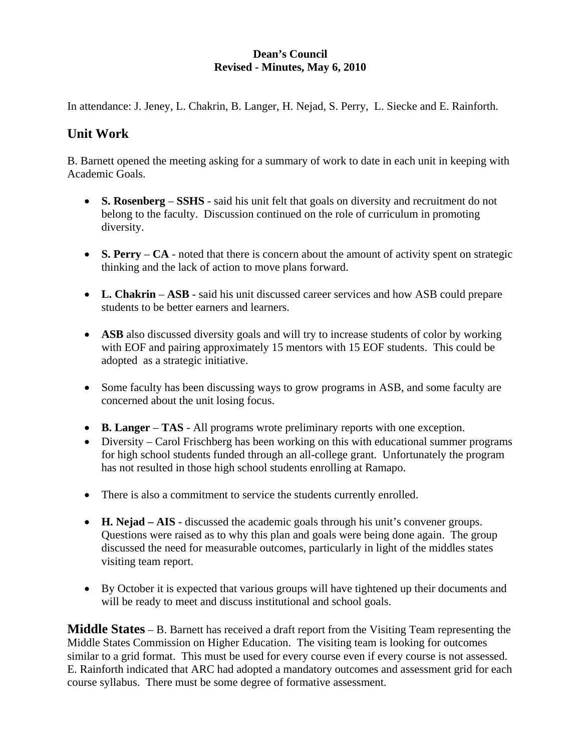#### **Dean's Council Revised - Minutes, May 6, 2010**

In attendance: J. Jeney, L. Chakrin, B. Langer, H. Nejad, S. Perry, L. Siecke and E. Rainforth.

# **Unit Work**

B. Barnett opened the meeting asking for a summary of work to date in each unit in keeping with Academic Goals.

- **S. Rosenberg SSHS** said his unit felt that goals on diversity and recruitment do not belong to the faculty. Discussion continued on the role of curriculum in promoting diversity.
- **S. Perry** CA noted that there is concern about the amount of activity spent on strategic thinking and the lack of action to move plans forward.
- **L. Chakrin ASB** said his unit discussed career services and how ASB could prepare students to be better earners and learners.
- **ASB** also discussed diversity goals and will try to increase students of color by working with EOF and pairing approximately 15 mentors with 15 EOF students. This could be adopted as a strategic initiative.
- Some faculty has been discussing ways to grow programs in ASB, and some faculty are concerned about the unit losing focus.
- **B. Langer TAS** All programs wrote preliminary reports with one exception.
- Diversity Carol Frischberg has been working on this with educational summer programs for high school students funded through an all-college grant. Unfortunately the program has not resulted in those high school students enrolling at Ramapo.
- There is also a commitment to service the students currently enrolled.
- **H. Nejad AIS -** discussed the academic goals through his unit's convener groups. Questions were raised as to why this plan and goals were being done again. The group discussed the need for measurable outcomes, particularly in light of the middles states visiting team report.
- By October it is expected that various groups will have tightened up their documents and will be ready to meet and discuss institutional and school goals.

**Middle States** – B. Barnett has received a draft report from the Visiting Team representing the Middle States Commission on Higher Education. The visiting team is looking for outcomes similar to a grid format. This must be used for every course even if every course is not assessed. E. Rainforth indicated that ARC had adopted a mandatory outcomes and assessment grid for each course syllabus. There must be some degree of formative assessment.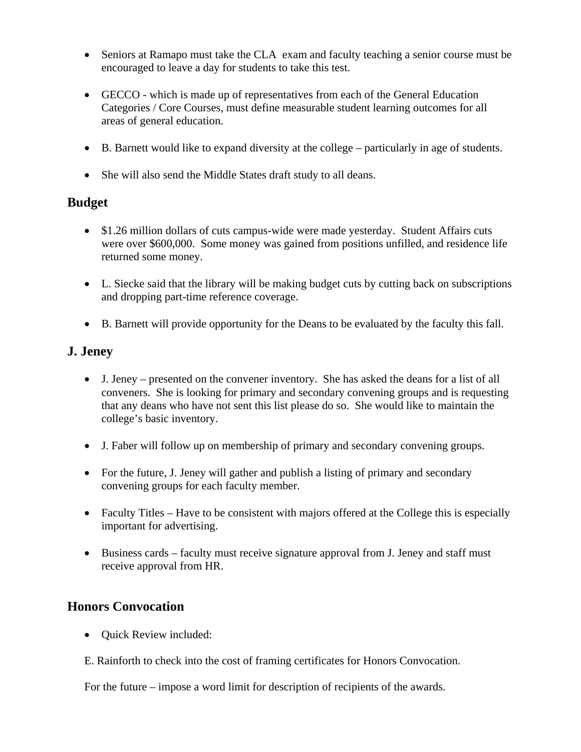- Seniors at Ramapo must take the CLA exam and faculty teaching a senior course must be encouraged to leave a day for students to take this test.
- GECCO which is made up of representatives from each of the General Education Categories / Core Courses, must define measurable student learning outcomes for all areas of general education.
- B. Barnett would like to expand diversity at the college particularly in age of students.
- She will also send the Middle States draft study to all deans.

## **Budget**

- \$1.26 million dollars of cuts campus-wide were made yesterday. Student Affairs cuts were over \$600,000. Some money was gained from positions unfilled, and residence life returned some money.
- L. Siecke said that the library will be making budget cuts by cutting back on subscriptions and dropping part-time reference coverage.
- B. Barnett will provide opportunity for the Deans to be evaluated by the faculty this fall.

### **J. Jeney**

- J. Jeney presented on the convener inventory. She has asked the deans for a list of all conveners. She is looking for primary and secondary convening groups and is requesting that any deans who have not sent this list please do so. She would like to maintain the college's basic inventory.
- J. Faber will follow up on membership of primary and secondary convening groups.
- For the future, J. Jeney will gather and publish a listing of primary and secondary convening groups for each faculty member.
- Faculty Titles Have to be consistent with majors offered at the College this is especially important for advertising.
- Business cards faculty must receive signature approval from J. Jeney and staff must receive approval from HR.

### **Honors Convocation**

- Quick Review included:
- E. Rainforth to check into the cost of framing certificates for Honors Convocation.

For the future – impose a word limit for description of recipients of the awards.